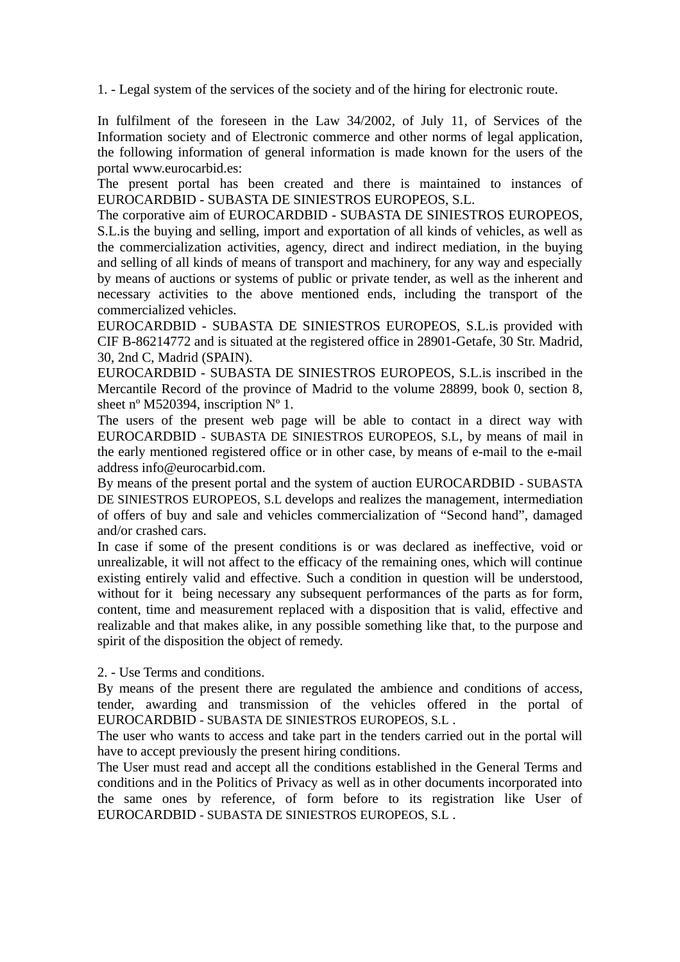1. - Legal system of the services of the society and of the hiring for electronic route.

In fulfilment of the foreseen in the Law 34/2002, of July 11, of Services of the Information society and of Electronic commerce and other norms of legal application, the following information of general information is made known for the users of the portal www.eurocarbid.es:

The present portal has been created and there is maintained to instances of EUROCARDBID - SUBASTA DE SINIESTROS EUROPEOS, S.L.

The corporative aim of EUROCARDBID - SUBASTA DE SINIESTROS EUROPEOS, S.L.is the buying and selling, import and exportation of all kinds of vehicles, as well as the commercialization activities, agency, direct and indirect mediation, in the buying and selling of all kinds of means of transport and machinery, for any way and especially by means of auctions or systems of public or private tender, as well as the inherent and necessary activities to the above mentioned ends, including the transport of the commercialized vehicles.

EUROCARDBID - SUBASTA DE SINIESTROS EUROPEOS, S.L.is provided with CIF B-86214772 and is situated at the registered office in 28901-Getafe, 30 Str. Madrid, 30, 2nd C, Madrid (SPAIN).

EUROCARDBID - SUBASTA DE SINIESTROS EUROPEOS, S.L.is inscribed in the Mercantile Record of the province of Madrid to the volume 28899, book 0, section 8, sheet n<sup>o</sup> M520394, inscription N<sup>o</sup> 1.

The users of the present web page will be able to contact in a direct way with EUROCARDBID - SUBASTA DE SINIESTROS EUROPEOS, S.L, by means of mail in the early mentioned registered office or in other case, by means of e-mail to the e-mail address info@eurocarbid.com.

By means of the present portal and the system of auction EUROCARDBID - SUBASTA DE SINIESTROS EUROPEOS, S.L develops and realizes the management, intermediation of offers of buy and sale and vehicles commercialization of "Second hand", damaged and/or crashed cars.

In case if some of the present conditions is or was declared as ineffective, void or unrealizable, it will not affect to the efficacy of the remaining ones, which will continue existing entirely valid and effective. Such a condition in question will be understood, without for it being necessary any subsequent performances of the parts as for form, content, time and measurement replaced with a disposition that is valid, effective and realizable and that makes alike, in any possible something like that, to the purpose and spirit of the disposition the object of remedy.

2. - Use Terms and conditions.

By means of the present there are regulated the ambience and conditions of access, tender, awarding and transmission of the vehicles offered in the portal of EUROCARDBID - SUBASTA DE SINIESTROS EUROPEOS, S.L .

The user who wants to access and take part in the tenders carried out in the portal will have to accept previously the present hiring conditions.

The User must read and accept all the conditions established in the General Terms and conditions and in the Politics of Privacy as well as in other documents incorporated into the same ones by reference, of form before to its registration like User of EUROCARDBID - SUBASTA DE SINIESTROS EUROPEOS, S.L .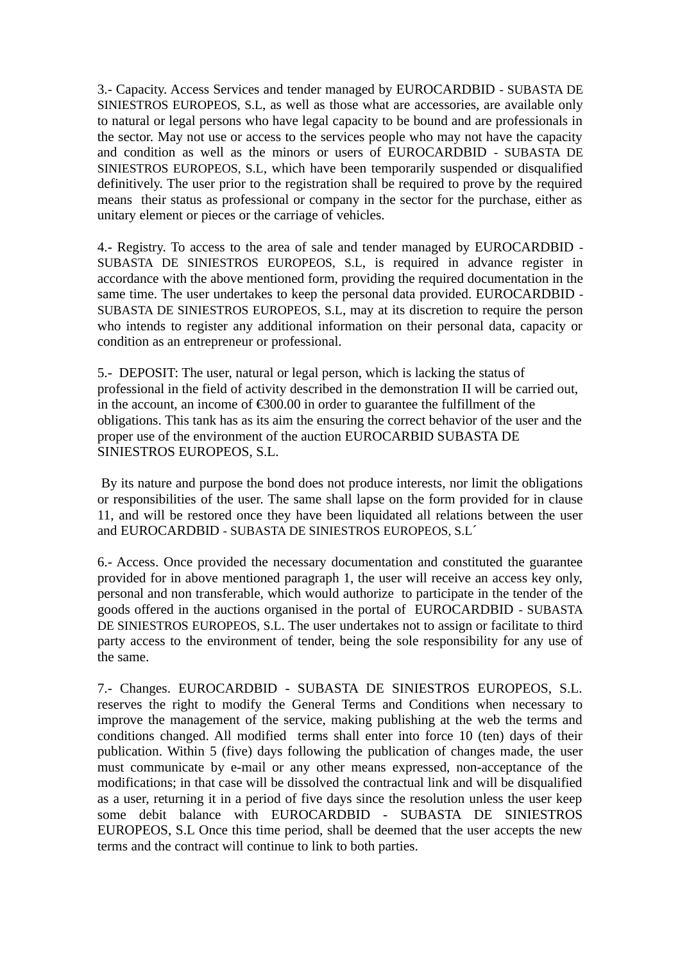3.- Capacity. Access Services and tender managed by EUROCARDBID - SUBASTA DE SINIESTROS EUROPEOS, S.L, as well as those what are accessories, are available only to natural or legal persons who have legal capacity to be bound and are professionals in the sector. May not use or access to the services people who may not have the capacity and condition as well as the minors or users of EUROCARDBID - SUBASTA DE SINIESTROS EUROPEOS, S.L, which have been temporarily suspended or disqualified definitively. The user prior to the registration shall be required to prove by the required means their status as professional or company in the sector for the purchase, either as unitary element or pieces or the carriage of vehicles.

4.- Registry. To access to the area of sale and tender managed by EUROCARDBID - SUBASTA DE SINIESTROS EUROPEOS, S.L, is required in advance register in accordance with the above mentioned form, providing the required documentation in the same time. The user undertakes to keep the personal data provided. EUROCARDBID - SUBASTA DE SINIESTROS EUROPEOS, S.L, may at its discretion to require the person who intends to register any additional information on their personal data, capacity or condition as an entrepreneur or professional.

5.- DEPOSIT: The user, natural or legal person, which is lacking the status of professional in the field of activity described in the demonstration II will be carried out, in the account, an income of €300.00 in order to guarantee the fulfillment of the obligations. This tank has as its aim the ensuring the correct behavior of the user and the proper use of the environment of the auction EUROCARBID SUBASTA DE SINIESTROS EUROPEOS, S.L.

 By its nature and purpose the bond does not produce interests, nor limit the obligations or responsibilities of the user. The same shall lapse on the form provided for in clause 11, and will be restored once they have been liquidated all relations between the user and EUROCARDBID - SUBASTA DE SINIESTROS EUROPEOS, S.L´

6.- Access. Once provided the necessary documentation and constituted the guarantee provided for in above mentioned paragraph 1, the user will receive an access key only, personal and non transferable, which would authorize to participate in the tender of the goods offered in the auctions organised in the portal of EUROCARDBID - SUBASTA DE SINIESTROS EUROPEOS, S.L. The user undertakes not to assign or facilitate to third party access to the environment of tender, being the sole responsibility for any use of the same.

7.- Changes. EUROCARDBID - SUBASTA DE SINIESTROS EUROPEOS, S.L. reserves the right to modify the General Terms and Conditions when necessary to improve the management of the service, making publishing at the web the terms and conditions changed. All modified terms shall enter into force 10 (ten) days of their publication. Within 5 (five) days following the publication of changes made, the user must communicate by e-mail or any other means expressed, non-acceptance of the modifications; in that case will be dissolved the contractual link and will be disqualified as a user, returning it in a period of five days since the resolution unless the user keep some debit balance with EUROCARDBID - SUBASTA DE SINIESTROS EUROPEOS, S.L Once this time period, shall be deemed that the user accepts the new terms and the contract will continue to link to both parties.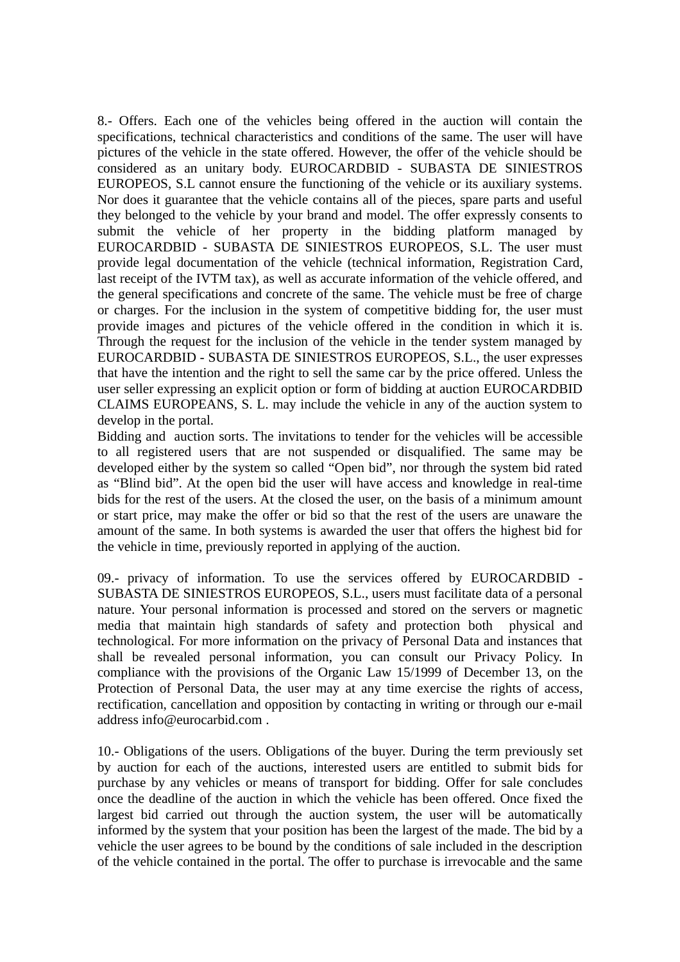8.- Offers. Each one of the vehicles being offered in the auction will contain the specifications, technical characteristics and conditions of the same. The user will have pictures of the vehicle in the state offered. However, the offer of the vehicle should be considered as an unitary body. EUROCARDBID - SUBASTA DE SINIESTROS EUROPEOS, S.L cannot ensure the functioning of the vehicle or its auxiliary systems. Nor does it guarantee that the vehicle contains all of the pieces, spare parts and useful they belonged to the vehicle by your brand and model. The offer expressly consents to submit the vehicle of her property in the bidding platform managed by EUROCARDBID - SUBASTA DE SINIESTROS EUROPEOS, S.L. The user must provide legal documentation of the vehicle (technical information, Registration Card, last receipt of the IVTM tax), as well as accurate information of the vehicle offered, and the general specifications and concrete of the same. The vehicle must be free of charge or charges. For the inclusion in the system of competitive bidding for, the user must provide images and pictures of the vehicle offered in the condition in which it is. Through the request for the inclusion of the vehicle in the tender system managed by EUROCARDBID - SUBASTA DE SINIESTROS EUROPEOS, S.L., the user expresses that have the intention and the right to sell the same car by the price offered. Unless the user seller expressing an explicit option or form of bidding at auction EUROCARDBID CLAIMS EUROPEANS, S. L. may include the vehicle in any of the auction system to develop in the portal.

Bidding and auction sorts. The invitations to tender for the vehicles will be accessible to all registered users that are not suspended or disqualified. The same may be developed either by the system so called "Open bid", nor through the system bid rated as "Blind bid". At the open bid the user will have access and knowledge in real-time bids for the rest of the users. At the closed the user, on the basis of a minimum amount or start price, may make the offer or bid so that the rest of the users are unaware the amount of the same. In both systems is awarded the user that offers the highest bid for the vehicle in time, previously reported in applying of the auction.

09.- privacy of information. To use the services offered by EUROCARDBID - SUBASTA DE SINIESTROS EUROPEOS, S.L., users must facilitate data of a personal nature. Your personal information is processed and stored on the servers or magnetic media that maintain high standards of safety and protection both physical and technological. For more information on the privacy of Personal Data and instances that shall be revealed personal information, you can consult our Privacy Policy. In compliance with the provisions of the Organic Law 15/1999 of December 13, on the Protection of Personal Data, the user may at any time exercise the rights of access, rectification, cancellation and opposition by contacting in writing or through our e-mail address info@eurocarbid.com .

10.- Obligations of the users. Obligations of the buyer. During the term previously set by auction for each of the auctions, interested users are entitled to submit bids for purchase by any vehicles or means of transport for bidding. Offer for sale concludes once the deadline of the auction in which the vehicle has been offered. Once fixed the largest bid carried out through the auction system, the user will be automatically informed by the system that your position has been the largest of the made. The bid by a vehicle the user agrees to be bound by the conditions of sale included in the description of the vehicle contained in the portal. The offer to purchase is irrevocable and the same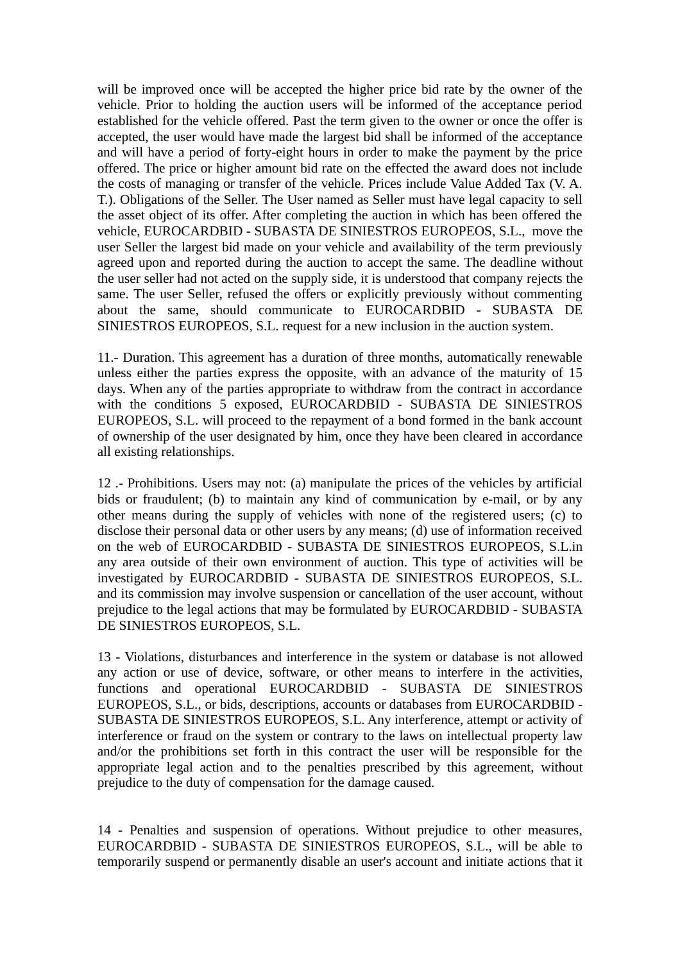will be improved once will be accepted the higher price bid rate by the owner of the vehicle. Prior to holding the auction users will be informed of the acceptance period established for the vehicle offered. Past the term given to the owner or once the offer is accepted, the user would have made the largest bid shall be informed of the acceptance and will have a period of forty-eight hours in order to make the payment by the price offered. The price or higher amount bid rate on the effected the award does not include the costs of managing or transfer of the vehicle. Prices include Value Added Tax (V. A. T.). Obligations of the Seller. The User named as Seller must have legal capacity to sell the asset object of its offer. After completing the auction in which has been offered the vehicle, EUROCARDBID - SUBASTA DE SINIESTROS EUROPEOS, S.L., move the user Seller the largest bid made on your vehicle and availability of the term previously agreed upon and reported during the auction to accept the same. The deadline without the user seller had not acted on the supply side, it is understood that company rejects the same. The user Seller, refused the offers or explicitly previously without commenting about the same, should communicate to EUROCARDBID - SUBASTA DE SINIESTROS EUROPEOS, S.L. request for a new inclusion in the auction system.

11.- Duration. This agreement has a duration of three months, automatically renewable unless either the parties express the opposite, with an advance of the maturity of 15 days. When any of the parties appropriate to withdraw from the contract in accordance with the conditions 5 exposed, EUROCARDBID - SUBASTA DE SINIESTROS EUROPEOS, S.L. will proceed to the repayment of a bond formed in the bank account of ownership of the user designated by him, once they have been cleared in accordance all existing relationships.

12 .- Prohibitions. Users may not: (a) manipulate the prices of the vehicles by artificial bids or fraudulent; (b) to maintain any kind of communication by e-mail, or by any other means during the supply of vehicles with none of the registered users; (c) to disclose their personal data or other users by any means; (d) use of information received on the web of EUROCARDBID - SUBASTA DE SINIESTROS EUROPEOS, S.L.in any area outside of their own environment of auction. This type of activities will be investigated by EUROCARDBID - SUBASTA DE SINIESTROS EUROPEOS, S.L. and its commission may involve suspension or cancellation of the user account, without prejudice to the legal actions that may be formulated by EUROCARDBID - SUBASTA DE SINIESTROS EUROPEOS, S.L.

13 - Violations, disturbances and interference in the system or database is not allowed any action or use of device, software, or other means to interfere in the activities, functions and operational EUROCARDBID - SUBASTA DE SINIESTROS EUROPEOS, S.L., or bids, descriptions, accounts or databases from EUROCARDBID - SUBASTA DE SINIESTROS EUROPEOS, S.L. Any interference, attempt or activity of interference or fraud on the system or contrary to the laws on intellectual property law and/or the prohibitions set forth in this contract the user will be responsible for the appropriate legal action and to the penalties prescribed by this agreement, without prejudice to the duty of compensation for the damage caused.

14 - Penalties and suspension of operations. Without prejudice to other measures, EUROCARDBID - SUBASTA DE SINIESTROS EUROPEOS, S.L., will be able to temporarily suspend or permanently disable an user's account and initiate actions that it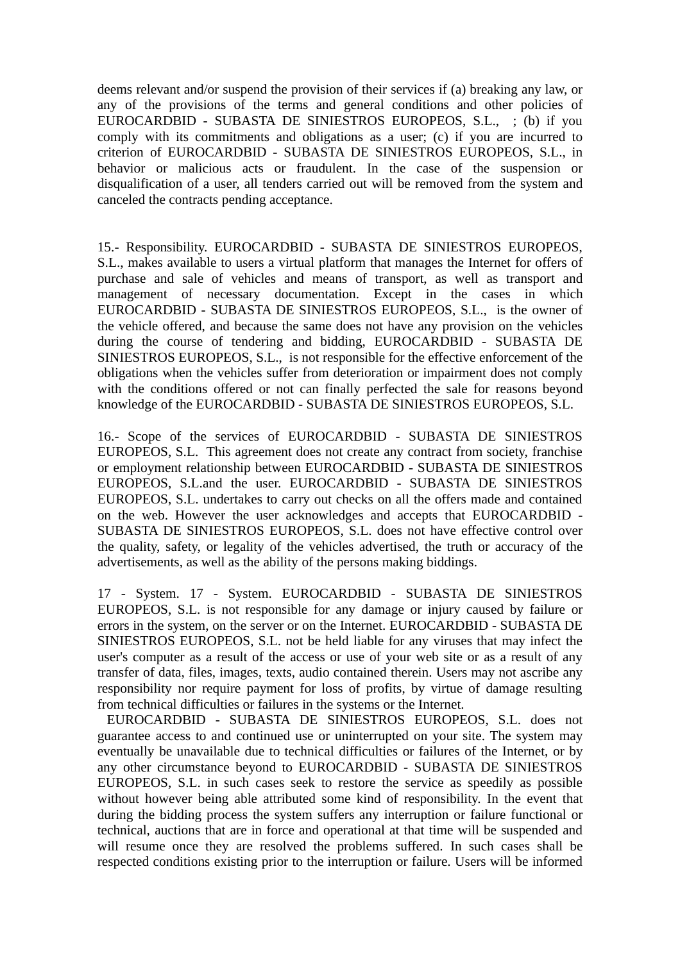deems relevant and/or suspend the provision of their services if (a) breaking any law, or any of the provisions of the terms and general conditions and other policies of EUROCARDBID - SUBASTA DE SINIESTROS EUROPEOS, S.L., ; (b) if you comply with its commitments and obligations as a user; (c) if you are incurred to criterion of EUROCARDBID - SUBASTA DE SINIESTROS EUROPEOS, S.L., in behavior or malicious acts or fraudulent. In the case of the suspension or disqualification of a user, all tenders carried out will be removed from the system and canceled the contracts pending acceptance.

15.- Responsibility. EUROCARDBID - SUBASTA DE SINIESTROS EUROPEOS, S.L., makes available to users a virtual platform that manages the Internet for offers of purchase and sale of vehicles and means of transport, as well as transport and management of necessary documentation. Except in the cases in which EUROCARDBID - SUBASTA DE SINIESTROS EUROPEOS, S.L., is the owner of the vehicle offered, and because the same does not have any provision on the vehicles during the course of tendering and bidding, EUROCARDBID - SUBASTA DE SINIESTROS EUROPEOS, S.L., is not responsible for the effective enforcement of the obligations when the vehicles suffer from deterioration or impairment does not comply with the conditions offered or not can finally perfected the sale for reasons beyond knowledge of the EUROCARDBID - SUBASTA DE SINIESTROS EUROPEOS, S.L.

16.- Scope of the services of EUROCARDBID - SUBASTA DE SINIESTROS EUROPEOS, S.L. This agreement does not create any contract from society, franchise or employment relationship between EUROCARDBID - SUBASTA DE SINIESTROS EUROPEOS, S.L.and the user. EUROCARDBID - SUBASTA DE SINIESTROS EUROPEOS, S.L. undertakes to carry out checks on all the offers made and contained on the web. However the user acknowledges and accepts that EUROCARDBID - SUBASTA DE SINIESTROS EUROPEOS, S.L. does not have effective control over the quality, safety, or legality of the vehicles advertised, the truth or accuracy of the advertisements, as well as the ability of the persons making biddings.

17 - System. 17 - System. EUROCARDBID - SUBASTA DE SINIESTROS EUROPEOS, S.L. is not responsible for any damage or injury caused by failure or errors in the system, on the server or on the Internet. EUROCARDBID - SUBASTA DE SINIESTROS EUROPEOS, S.L. not be held liable for any viruses that may infect the user's computer as a result of the access or use of your web site or as a result of any transfer of data, files, images, texts, audio contained therein. Users may not ascribe any responsibility nor require payment for loss of profits, by virtue of damage resulting from technical difficulties or failures in the systems or the Internet.

 EUROCARDBID - SUBASTA DE SINIESTROS EUROPEOS, S.L. does not guarantee access to and continued use or uninterrupted on your site. The system may eventually be unavailable due to technical difficulties or failures of the Internet, or by any other circumstance beyond to EUROCARDBID - SUBASTA DE SINIESTROS EUROPEOS, S.L. in such cases seek to restore the service as speedily as possible without however being able attributed some kind of responsibility. In the event that during the bidding process the system suffers any interruption or failure functional or technical, auctions that are in force and operational at that time will be suspended and will resume once they are resolved the problems suffered. In such cases shall be respected conditions existing prior to the interruption or failure. Users will be informed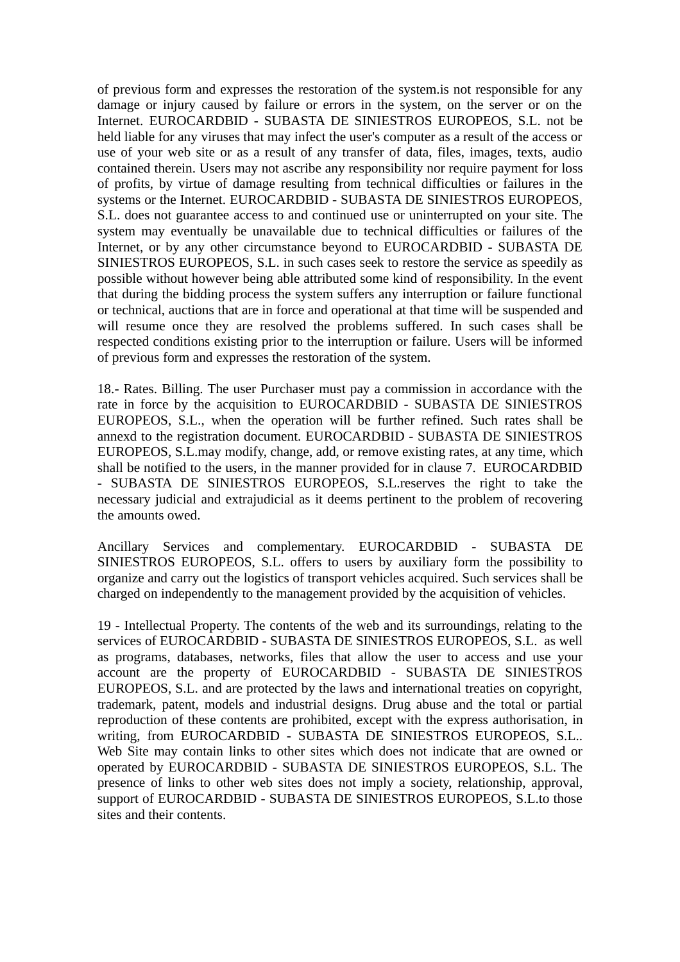of previous form and expresses the restoration of the system.is not responsible for any damage or injury caused by failure or errors in the system, on the server or on the Internet. EUROCARDBID - SUBASTA DE SINIESTROS EUROPEOS, S.L. not be held liable for any viruses that may infect the user's computer as a result of the access or use of your web site or as a result of any transfer of data, files, images, texts, audio contained therein. Users may not ascribe any responsibility nor require payment for loss of profits, by virtue of damage resulting from technical difficulties or failures in the systems or the Internet. EUROCARDBID - SUBASTA DE SINIESTROS EUROPEOS, S.L. does not guarantee access to and continued use or uninterrupted on your site. The system may eventually be unavailable due to technical difficulties or failures of the Internet, or by any other circumstance beyond to EUROCARDBID - SUBASTA DE SINIESTROS EUROPEOS, S.L. in such cases seek to restore the service as speedily as possible without however being able attributed some kind of responsibility. In the event that during the bidding process the system suffers any interruption or failure functional or technical, auctions that are in force and operational at that time will be suspended and will resume once they are resolved the problems suffered. In such cases shall be respected conditions existing prior to the interruption or failure. Users will be informed of previous form and expresses the restoration of the system.

18.- Rates. Billing. The user Purchaser must pay a commission in accordance with the rate in force by the acquisition to EUROCARDBID - SUBASTA DE SINIESTROS EUROPEOS, S.L., when the operation will be further refined. Such rates shall be annexd to the registration document. EUROCARDBID - SUBASTA DE SINIESTROS EUROPEOS, S.L.may modify, change, add, or remove existing rates, at any time, which shall be notified to the users, in the manner provided for in clause 7. EUROCARDBID - SUBASTA DE SINIESTROS EUROPEOS, S.L.reserves the right to take the necessary judicial and extrajudicial as it deems pertinent to the problem of recovering the amounts owed.

Ancillary Services and complementary. EUROCARDBID - SUBASTA DE SINIESTROS EUROPEOS, S.L. offers to users by auxiliary form the possibility to organize and carry out the logistics of transport vehicles acquired. Such services shall be charged on independently to the management provided by the acquisition of vehicles.

19 - Intellectual Property. The contents of the web and its surroundings, relating to the services of EUROCARDBID - SUBASTA DE SINIESTROS EUROPEOS, S.L. as well as programs, databases, networks, files that allow the user to access and use your account are the property of EUROCARDBID - SUBASTA DE SINIESTROS EUROPEOS, S.L. and are protected by the laws and international treaties on copyright, trademark, patent, models and industrial designs. Drug abuse and the total or partial reproduction of these contents are prohibited, except with the express authorisation, in writing, from EUROCARDBID - SUBASTA DE SINIESTROS EUROPEOS, S.L.. Web Site may contain links to other sites which does not indicate that are owned or operated by EUROCARDBID - SUBASTA DE SINIESTROS EUROPEOS, S.L. The presence of links to other web sites does not imply a society, relationship, approval, support of EUROCARDBID - SUBASTA DE SINIESTROS EUROPEOS, S.L.to those sites and their contents.